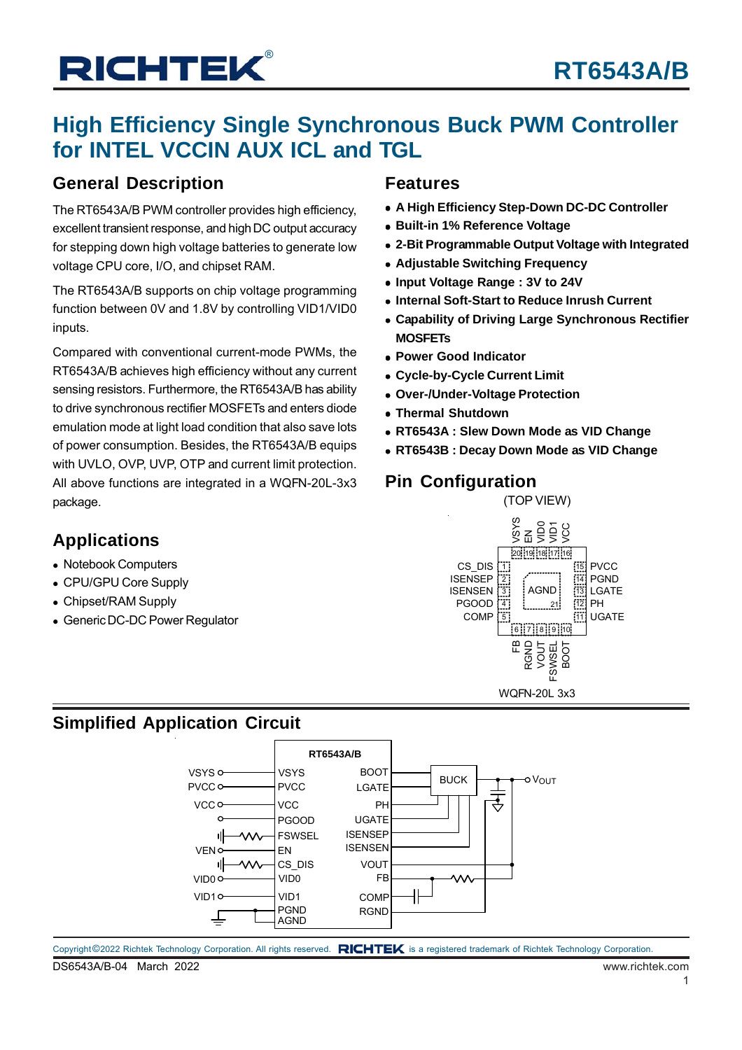## **High Efficiency Single Synchronous Buck PWM Controller for INTEL VCCIN AUX ICL and TGL**

### **General Description**

The RT6543A/B PWM controller provides high efficiency, excellent transient response, and high DC output accuracy for stepping down high voltage batteries to generate low voltage CPU core, I/O, and chipset RAM.

The RT6543A/B supports on chip voltage programming function between 0V and 1.8V by controlling VID1/VID0 inputs.

Compared with conventional current-mode PWMs, the RT6543A/B achieves high efficiency without any current sensing resistors. Furthermore, the RT6543A/B has ability to drive synchronous rectifier MOSFETs and enters diode emulation mode at light load condition that also save lots of power consumption. Besides, the RT6543A/B equips with UVLO, OVP, UVP, OTP and current limit protection. All above functions are integrated in a WQFN-20L-3x3 package.

### **Applications**

- Notebook Computers
- CPU/GPU Core Supply
- Chipset/RAM Supply
- Generic DC-DC Power Regulator

### **Features**

- **A High Efficiency Step-Down DC-DC Controller**
- **Built-in 1% Reference Voltage**
- **2-Bit Programmable Output Voltage with Integrated**
- **Adjustable Switching Frequency**
- **Input Voltage Range : 3V to 24V**
- **Internal Soft-Start to Reduce Inrush Current**
- **Capability of Driving Large Synchronous Rectifier MOSFETs**
- **Power Good Indicator**
- **Cycle-by-Cycle Current Limit**
- **Over-/Under-Voltage Protection**
- **Thermal Shutdown**
- **RT6543A : Slew Down Mode as VID Change**
- **RT6543B : Decay Down Mode as VID Change**

### **Pin Configuration**

(TOP VIEW)



### **Simplified Application Circuit**

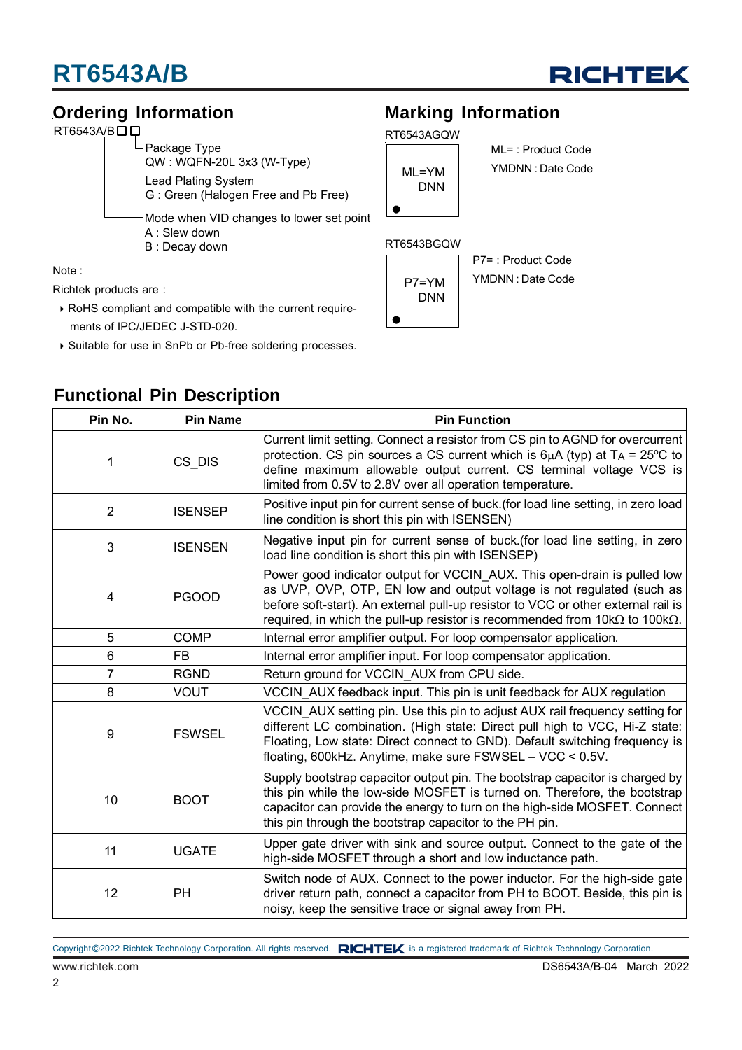

### **Ordering Information**

#### RT6543A/BOD

- Package Type QW : WQFN-20L 3x3 (W-Type) Lead Plating System G : Green (Halogen Free and Pb Free) Mode when VID changes to lower set point A : Slew down B : Decay down

Note :

Richtek products are :

- RoHS compliant and compatible with the current require ments of IPC/JEDEC J-STD-020.
- Suitable for use in SnPb or Pb-free soldering processes.

**Functional Pin Description**

### **Marking Information**





ML= : Product Code YMDNN : Date Code

#### RT6543BGQW



P7= : Product Code YMDNN : Date Code

| Pin No.        | <b>Pin Name</b> | <b>Pin Function</b>                                                                                                                                                                                                                                                                                                                 |
|----------------|-----------------|-------------------------------------------------------------------------------------------------------------------------------------------------------------------------------------------------------------------------------------------------------------------------------------------------------------------------------------|
| 1              | CS DIS          | Current limit setting. Connect a resistor from CS pin to AGND for overcurrent<br>protection. CS pin sources a CS current which is $6\mu A$ (typ) at $T_A = 25\textdegree C$ to<br>define maximum allowable output current. CS terminal voltage VCS is<br>limited from 0.5V to 2.8V over all operation temperature.                  |
| $\overline{2}$ | <b>ISENSEP</b>  | Positive input pin for current sense of buck. (for load line setting, in zero load<br>line condition is short this pin with ISENSEN)                                                                                                                                                                                                |
| 3              | <b>ISENSEN</b>  | Negative input pin for current sense of buck. (for load line setting, in zero<br>load line condition is short this pin with ISENSEP)                                                                                                                                                                                                |
| 4              | <b>PGOOD</b>    | Power good indicator output for VCCIN AUX. This open-drain is pulled low<br>as UVP, OVP, OTP, EN low and output voltage is not regulated (such as<br>before soft-start). An external pull-up resistor to VCC or other external rail is<br>required, in which the pull-up resistor is recommended from $10k\Omega$ to $100k\Omega$ . |
| 5              | <b>COMP</b>     | Internal error amplifier output. For loop compensator application.                                                                                                                                                                                                                                                                  |
| $6\phantom{1}$ | <b>FB</b>       | Internal error amplifier input. For loop compensator application.                                                                                                                                                                                                                                                                   |
| $\overline{7}$ | <b>RGND</b>     | Return ground for VCCIN AUX from CPU side.                                                                                                                                                                                                                                                                                          |
| 8              | <b>VOUT</b>     | VCCIN AUX feedback input. This pin is unit feedback for AUX regulation                                                                                                                                                                                                                                                              |
| 9              | <b>FSWSEL</b>   | VCCIN AUX setting pin. Use this pin to adjust AUX rail frequency setting for<br>different LC combination. (High state: Direct pull high to VCC, Hi-Z state:<br>Floating, Low state: Direct connect to GND). Default switching frequency is<br>floating, 600kHz. Anytime, make sure FSWSEL - VCC < 0.5V.                             |
| 10             | <b>BOOT</b>     | Supply bootstrap capacitor output pin. The bootstrap capacitor is charged by<br>this pin while the low-side MOSFET is turned on. Therefore, the bootstrap<br>capacitor can provide the energy to turn on the high-side MOSFET. Connect<br>this pin through the bootstrap capacitor to the PH pin.                                   |
| 11             | <b>UGATE</b>    | Upper gate driver with sink and source output. Connect to the gate of the<br>high-side MOSFET through a short and low inductance path.                                                                                                                                                                                              |
| 12             | PH              | Switch node of AUX. Connect to the power inductor. For the high-side gate<br>driver return path, connect a capacitor from PH to BOOT. Beside, this pin is<br>noisy, keep the sensitive trace or signal away from PH.                                                                                                                |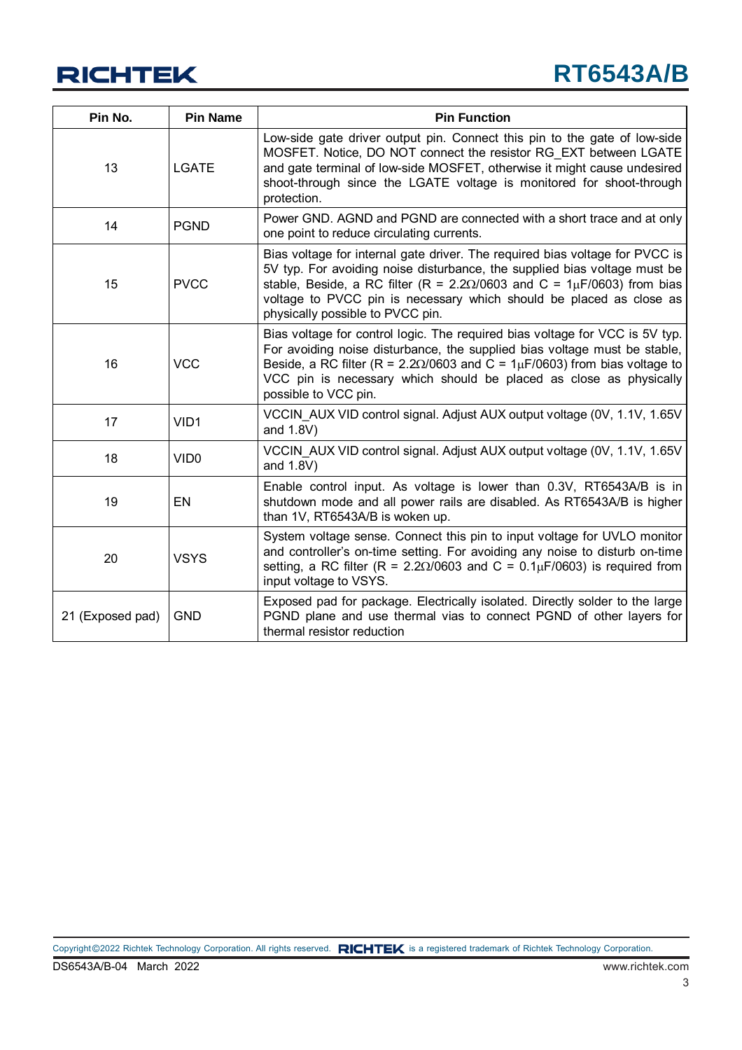

| Pin No.          | <b>Pin Name</b>  | <b>Pin Function</b>                                                                                                                                                                                                                                                                                                                                        |
|------------------|------------------|------------------------------------------------------------------------------------------------------------------------------------------------------------------------------------------------------------------------------------------------------------------------------------------------------------------------------------------------------------|
| 13               | <b>LGATE</b>     | Low-side gate driver output pin. Connect this pin to the gate of low-side<br>MOSFET. Notice, DO NOT connect the resistor RG EXT between LGATE<br>and gate terminal of low-side MOSFET, otherwise it might cause undesired<br>shoot-through since the LGATE voltage is monitored for shoot-through<br>protection.                                           |
| 14               | <b>PGND</b>      | Power GND. AGND and PGND are connected with a short trace and at only<br>one point to reduce circulating currents.                                                                                                                                                                                                                                         |
| 15               | <b>PVCC</b>      | Bias voltage for internal gate driver. The required bias voltage for PVCC is<br>5V typ. For avoiding noise disturbance, the supplied bias voltage must be<br>stable, Beside, a RC filter (R = $2.2\Omega/0603$ and C = $1\mu$ F/0603) from bias<br>voltage to PVCC pin is necessary which should be placed as close as<br>physically possible to PVCC pin. |
| 16               | <b>VCC</b>       | Bias voltage for control logic. The required bias voltage for VCC is 5V typ.<br>For avoiding noise disturbance, the supplied bias voltage must be stable,<br>Beside, a RC filter (R = $2.20/0603$ and C = $1\mu$ F/0603) from bias voltage to<br>VCC pin is necessary which should be placed as close as physically<br>possible to VCC pin.                |
| 17               | VID1             | VCCIN AUX VID control signal. Adjust AUX output voltage (0V, 1.1V, 1.65V<br>and 1.8V)                                                                                                                                                                                                                                                                      |
| 18               | VID <sub>0</sub> | VCCIN AUX VID control signal. Adjust AUX output voltage (0V, 1.1V, 1.65V<br>and 1.8V)                                                                                                                                                                                                                                                                      |
| 19               | EN               | Enable control input. As voltage is lower than 0.3V, RT6543A/B is in<br>shutdown mode and all power rails are disabled. As RT6543A/B is higher<br>than 1V, RT6543A/B is woken up.                                                                                                                                                                          |
| 20               | <b>VSYS</b>      | System voltage sense. Connect this pin to input voltage for UVLO monitor<br>and controller's on-time setting. For avoiding any noise to disturb on-time<br>setting, a RC filter (R = $2.2\Omega/0603$ and C = $0.1\mu$ F/0603) is required from<br>input voltage to VSYS.                                                                                  |
| 21 (Exposed pad) | <b>GND</b>       | Exposed pad for package. Electrically isolated. Directly solder to the large<br>PGND plane and use thermal vias to connect PGND of other layers for<br>thermal resistor reduction                                                                                                                                                                          |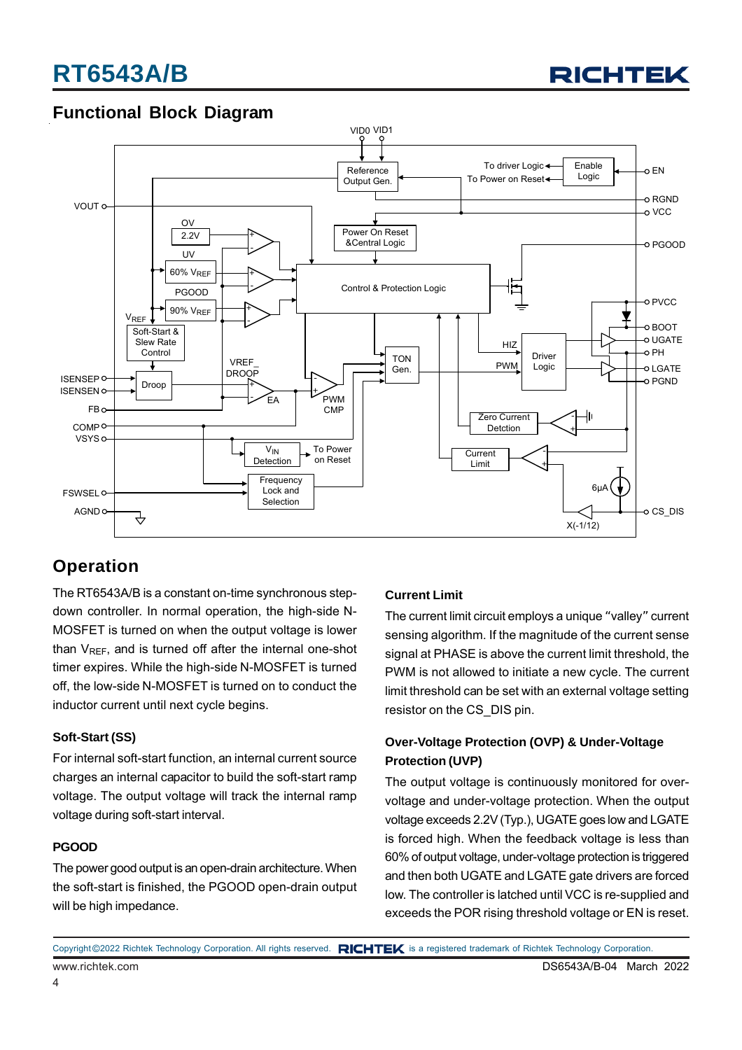

### **Functional Block Diagram**



### **Operation**

The RT6543A/B is a constant on-time synchronous stepdown controller. In normal operation, the high-side N-MOSFET is turned on when the output voltage is lower than  $V_{RFF}$ , and is turned off after the internal one-shot timer expires. While the high-side N-MOSFET is turned off, the low-side N-MOSFET is turned on to conduct the inductor current until next cycle begins.

#### **Soft-Start (SS)**

For internal soft-start function, an internal current source charges an internal capacitor to build the soft-start ramp voltage. The output voltage will track the internal ramp voltage during soft-start interval.

#### **PGOOD**

The power good output is an open-drain architecture. When the soft-start is finished, the PGOOD open-drain output will be high impedance.

#### **Current Limit**

The current limit circuit employs a unique "valley" current sensing algorithm. If the magnitude of the current sense signal at PHASE is above the current limit threshold, the PWM is not allowed to initiate a new cycle. The current limit threshold can be set with an external voltage setting resistor on the CS\_DIS pin.

#### **Over-Voltage Protection (OVP) & Under-Voltage Protection (UVP)**

The output voltage is continuously monitored for overvoltage and under-voltage protection. When the output voltage exceeds 2.2V (Typ.), UGATE goes low and LGATE is forced high. When the feedback voltage is less than 60% of output voltage, under-voltage protection is triggered and then both UGATE and LGATE gate drivers are forced low. The controller is latched until VCC is re-supplied and exceeds the POR rising threshold voltage or EN is reset.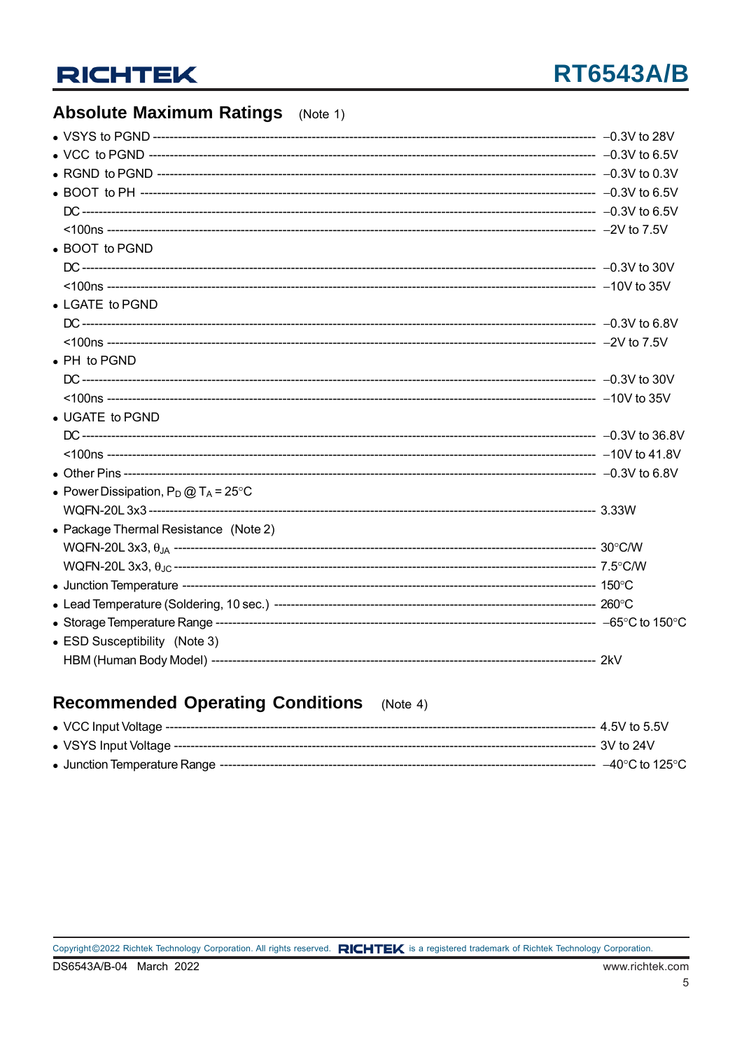### **Absolute Maximum Ratings** (Note 1)

### Recommended Operating Conditions (Note 4)

 $\,$  5  $\,$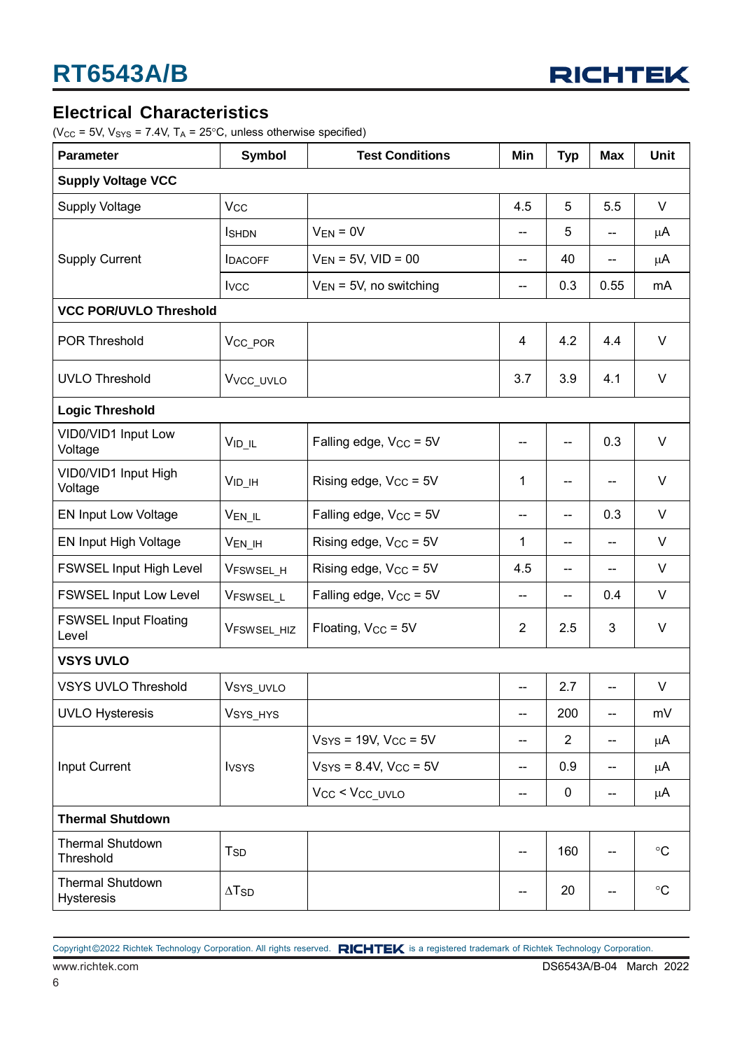

### **Electrical Characteristics**

( $V_{CC}$  = 5V,  $V_{SYS}$  = 7.4V,  $T_A$  = 25°C, unless otherwise specified)

| <b>Parameter</b>                      | <b>Symbol</b>            | <b>Test Conditions</b>             | Min                      | <b>Typ</b>               | <b>Max</b>               | <b>Unit</b>       |  |
|---------------------------------------|--------------------------|------------------------------------|--------------------------|--------------------------|--------------------------|-------------------|--|
| <b>Supply Voltage VCC</b>             |                          |                                    |                          |                          |                          |                   |  |
| <b>Supply Voltage</b>                 | <b>V<sub>CC</sub></b>    |                                    | 4.5                      | 5                        | 5.5                      | V                 |  |
|                                       | <b>I</b> SHDN            | $V_{EN} = 0V$                      | $\overline{a}$           | 5                        | $-$                      | μA                |  |
| <b>Supply Current</b>                 | <b>IDACOFF</b>           | $V_{EN}$ = 5V, VID = 00            | $\overline{\phantom{a}}$ | 40                       | $-$                      | μA                |  |
|                                       | <b>I</b> vcc             | $V_{EN}$ = 5V, no switching        | $\overline{\phantom{a}}$ | 0.3                      | 0.55                     | mA                |  |
| <b>VCC POR/UVLO Threshold</b>         |                          |                                    |                          |                          |                          |                   |  |
| <b>POR Threshold</b>                  | V <sub>CC_POR</sub>      |                                    | 4                        | 4.2                      | 4.4                      | $\vee$            |  |
| <b>UVLO Threshold</b>                 | Vvcc_uvLo                |                                    | 3.7                      | 3.9                      | 4.1                      | V                 |  |
| <b>Logic Threshold</b>                |                          |                                    |                          |                          |                          |                   |  |
| VID0/VID1 Input Low<br>Voltage        | $V_{ID_lL}$              | Falling edge, V <sub>CC</sub> = 5V |                          | $\overline{a}$           | 0.3                      | V                 |  |
| VID0/VID1 Input High<br>Voltage       | $VID$ $IH$               | Rising edge, V <sub>CC</sub> = 5V  | 1                        | --                       | --                       | V                 |  |
| <b>EN Input Low Voltage</b>           | V <sub>EN_IL</sub>       | Falling edge, V <sub>CC</sub> = 5V | --                       | --                       | 0.3                      | $\vee$            |  |
| EN Input High Voltage                 | $V_{EN_$ IH              | Rising edge, $V_{CC} = 5V$         | 1                        | $\overline{\phantom{m}}$ | $-$                      | V                 |  |
| FSWSEL Input High Level               | V <sub>FSWSEL_H</sub>    | Rising edge, $V_{CC} = 5V$         | 4.5                      | $-$                      | --                       | V                 |  |
| <b>FSWSEL Input Low Level</b>         | VFSWSEL_L                | Falling edge, V <sub>CC</sub> = 5V | $-$                      | $-$                      | 0.4                      | V                 |  |
| <b>FSWSEL Input Floating</b><br>Level | VFSWSEL_HIZ              | Floating, V <sub>CC</sub> = 5V     | $\overline{2}$           | 2.5                      | 3                        | $\vee$            |  |
| <b>VSYS UVLO</b>                      |                          |                                    |                          |                          |                          |                   |  |
| <b>VSYS UVLO Threshold</b>            | Vsys_uvLo                |                                    |                          | 2.7                      |                          | V                 |  |
| <b>UVLO Hysteresis</b>                | V <sub>SYS_HYS</sub>     |                                    | $\overline{\phantom{a}}$ | 200                      | $\overline{\phantom{a}}$ | mV                |  |
|                                       |                          | $VSYS = 19V, VCC = 5V$             | $-\!$ $\!-$              | $\overline{2}$           | -−                       | μA                |  |
| Input Current                         | <b>I</b> vsys            | $V_{SYS} = 8.4V, V_{CC} = 5V$      | $\overline{\phantom{a}}$ | 0.9                      | --                       | μA                |  |
|                                       |                          | Vcc < Vcc uvLo                     | $-$                      | 0                        | $\overline{\phantom{a}}$ | μA                |  |
| <b>Thermal Shutdown</b>               |                          |                                    |                          |                          |                          |                   |  |
| <b>Thermal Shutdown</b><br>Threshold  | T <sub>SD</sub>          |                                    |                          | 160                      | --                       | $\circ$ C         |  |
| <b>Thermal Shutdown</b><br>Hysteresis | $\Delta$ T <sub>SD</sub> |                                    |                          | 20                       | --                       | $^\circ \text{C}$ |  |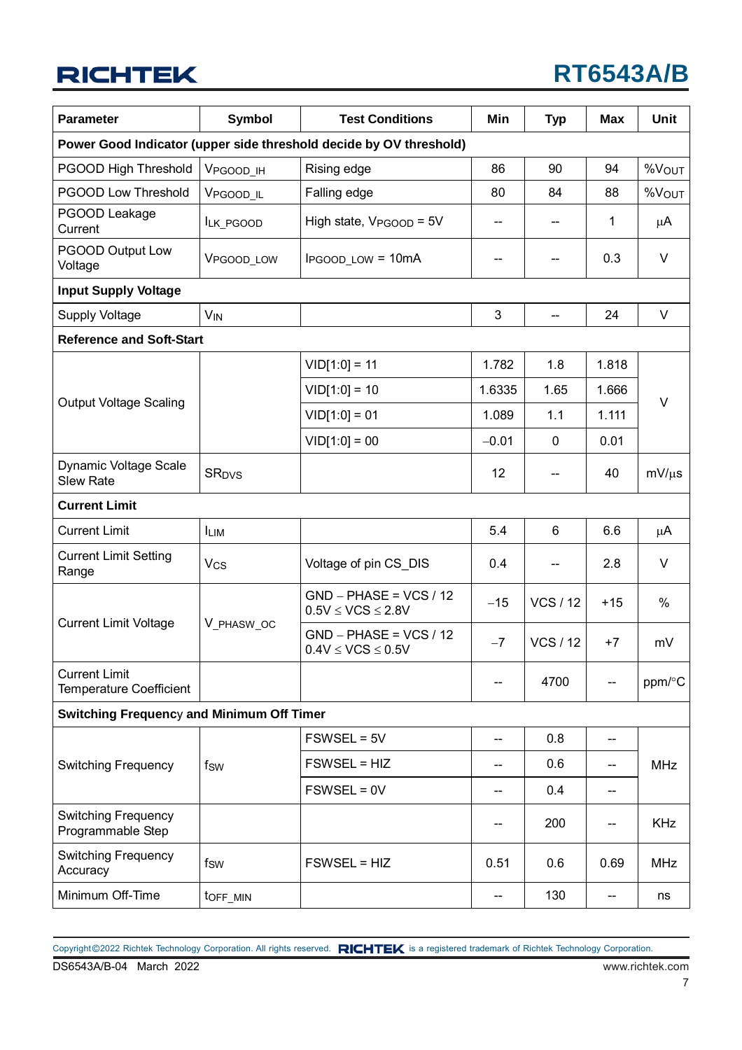## **RT6543A/B**

| <b>Parameter</b>                                       | <b>Symbol</b>           | <b>Test Conditions</b>                                             | <b>Min</b> | <b>Typ</b>               | <b>Max</b>               | <b>Unit</b> |  |
|--------------------------------------------------------|-------------------------|--------------------------------------------------------------------|------------|--------------------------|--------------------------|-------------|--|
|                                                        |                         | Power Good Indicator (upper side threshold decide by OV threshold) |            |                          |                          |             |  |
| PGOOD High Threshold                                   | VPGOOD_IH               | Rising edge                                                        | 86         | 90                       | 94                       | %VOUT       |  |
| <b>PGOOD Low Threshold</b>                             | VPGOOD_IL               | Falling edge                                                       | 80         | 84                       | 88                       | %Vout       |  |
| PGOOD Leakage<br>Current                               | ILK_PGOOD               | High state, $V_{PGOOD} = 5V$                                       | --         |                          | 1                        | μA          |  |
| PGOOD Output Low<br>Voltage                            | VPGOOD_LOW              | <b>IPGOOD LOW = 10mA</b>                                           |            | --                       | 0.3                      | $\vee$      |  |
| <b>Input Supply Voltage</b>                            |                         |                                                                    |            |                          |                          |             |  |
| <b>Supply Voltage</b>                                  | <b>V<sub>IN</sub></b>   |                                                                    | 3          | $\overline{\phantom{a}}$ | 24                       | V           |  |
| <b>Reference and Soft-Start</b>                        |                         |                                                                    |            |                          |                          |             |  |
|                                                        |                         | $VID[1:0] = 11$                                                    | 1.782      | 1.8                      | 1.818                    |             |  |
|                                                        |                         | $VID[1:0] = 10$                                                    | 1.6335     | 1.65                     | 1.666                    |             |  |
| <b>Output Voltage Scaling</b>                          |                         | $VID[1:0] = 01$                                                    | 1.089      | 1.1                      | 1.111                    | $\vee$      |  |
|                                                        |                         | $VID[1:0] = 00$                                                    | $-0.01$    | $\mathbf 0$              | 0.01                     |             |  |
| Dynamic Voltage Scale<br><b>Slew Rate</b>              | <b>SR<sub>DVS</sub></b> |                                                                    | 12         | $\qquad \qquad -$        | 40                       | $mV/\mu s$  |  |
| <b>Current Limit</b>                                   |                         |                                                                    |            |                          |                          |             |  |
| <b>Current Limit</b>                                   | <b>LIM</b>              |                                                                    | 5.4        | 6                        | 6.6                      | $\mu$ A     |  |
| <b>Current Limit Setting</b><br>Range                  | <b>V<sub>CS</sub></b>   | Voltage of pin CS_DIS                                              | 0.4        |                          | 2.8                      | V           |  |
|                                                        |                         | $GND - PHASE = VCS / 12$<br>$0.5V \leq VCS \leq 2.8V$              | $-15$      | <b>VCS / 12</b>          | $+15$                    | $\%$        |  |
| <b>Current Limit Voltage</b>                           | V_PHASW_OC              | $GND - PHASE = VCS / 12$<br>$0.4V \leq VCS \leq 0.5V$              | $-7$       | <b>VCS / 12</b>          | $+7$                     | mV          |  |
| <b>Current Limit</b><br><b>Temperature Coefficient</b> |                         |                                                                    |            | 4700                     |                          | ppm/°C      |  |
| <b>Switching Frequency and Minimum Off Timer</b>       |                         |                                                                    |            |                          |                          |             |  |
|                                                        |                         | FSWSEL = 5V                                                        | --         | 0.8                      | $\overline{\phantom{a}}$ |             |  |
| <b>Switching Frequency</b>                             | fsw                     | FSWSEL = HIZ                                                       | --         | 0.6                      | $\overline{\phantom{a}}$ | <b>MHz</b>  |  |
|                                                        |                         | $FSWSEL = 0V$                                                      | --         | 0.4                      | $\overline{\phantom{a}}$ |             |  |
| <b>Switching Frequency</b><br>Programmable Step        |                         |                                                                    |            | 200                      | $\overline{\phantom{a}}$ | <b>KHz</b>  |  |
| <b>Switching Frequency</b><br>Accuracy                 | fsw                     | FSWSEL = HIZ                                                       | 0.51       | 0.6                      | 0.69                     | <b>MHz</b>  |  |
| Minimum Off-Time                                       | toff_MIN                |                                                                    | --         | 130                      | $\overline{\phantom{a}}$ | ns          |  |

DS6543A/B-04 March 2022 www.richtek.com Copyright ©2022 Richtek Technology Corporation. All rights reserved. RICHTEK is a registered trademark of Richtek Technology Corporation.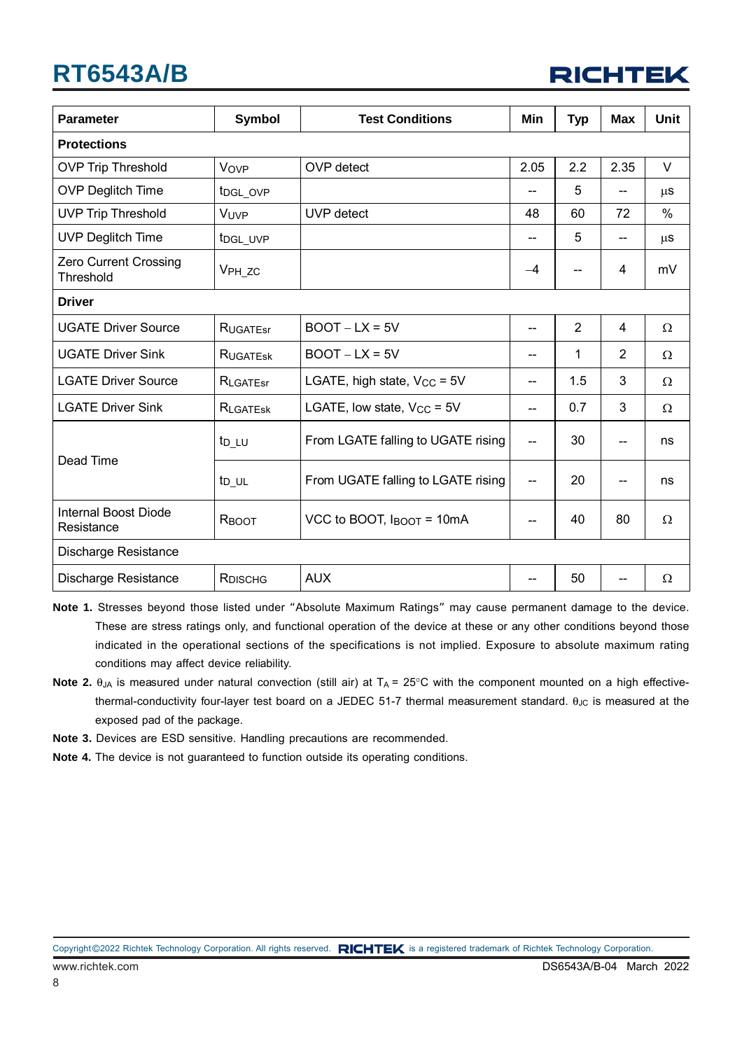

| <b>Parameter</b>                   | Symbol               | <b>Test Conditions</b>             | Min                      | <b>Typ</b> | <b>Max</b>     | Unit     |
|------------------------------------|----------------------|------------------------------------|--------------------------|------------|----------------|----------|
| <b>Protections</b>                 |                      |                                    |                          |            |                |          |
| <b>OVP Trip Threshold</b>          | Vovp                 | OVP detect                         | 2.05                     | 2.2        | 2.35           | $\vee$   |
| <b>OVP Deglitch Time</b>           | t <sub>DGL_OVP</sub> |                                    |                          | 5          | --             | $\mu$ S  |
| <b>UVP Trip Threshold</b>          | VUVP                 | UVP detect                         | 48                       | 60         | 72             | $\%$     |
| <b>UVP Deglitch Time</b>           | t <sub>DGL_UVP</sub> |                                    | $\qquad \qquad -$        | 5          | --             | $\mu$ S  |
| Zero Current Crossing<br>Threshold | V <sub>PH_ZC</sub>   |                                    | $-4$                     | --         | 4              | mV       |
| <b>Driver</b>                      |                      |                                    |                          |            |                |          |
| <b>UGATE Driver Source</b>         | <b>RUGATEST</b>      | $BOOT-LX = 5V$                     | $\qquad \qquad -$        | 2          | 4              | $\Omega$ |
| <b>UGATE Driver Sink</b>           | RUGATESK             | $BOOT-LX = 5V$                     | $\qquad \qquad \qquad -$ | 1          | $\overline{2}$ | Ω        |
| <b>LGATE Driver Source</b>         | RLGATEST             | LGATE, high state, $V_{CC} = 5V$   | $\qquad \qquad -$        | 1.5        | 3              | $\Omega$ |
| <b>LGATE Driver Sink</b>           | RLGATESK             | LGATE, low state, $V_{CC}$ = 5V    | --                       | 0.7        | 3              | $\Omega$ |
| Dead Time                          | t <sub>D_LU</sub>    | From LGATE falling to UGATE rising | --                       | 30         | $-$            | ns       |
|                                    | t <sub>D_UL</sub>    | From UGATE falling to LGATE rising | --                       | 20         | --             | ns       |
| Internal Boost Diode<br>Resistance | RBOOT                | VCC to BOOT, IBOOT = 10mA          |                          | 40         | 80             | Ω        |
| Discharge Resistance               |                      |                                    |                          |            |                |          |
| Discharge Resistance               | RDISCHG              | <b>AUX</b>                         | --                       | 50         |                | $\Omega$ |

**Note 1.** Stresses beyond those listed under "Absolute Maximum Ratings" may cause permanent damage to the device. These are stress ratings only, and functional operation of the device at these or any other conditions beyond those indicated in the operational sections of the specifications is not implied. Exposure to absolute maximum rating conditions may affect device reliability.

- **Note 2.**  $\theta_{JA}$  is measured under natural convection (still air) at  $T_A = 25^{\circ}$ C with the component mounted on a high effectivethermal-conductivity four-layer test board on a JEDEC 51-7 thermal measurement standard.  $\theta_{JC}$  is measured at the exposed pad of the package.
- **Note 3.** Devices are ESD sensitive. Handling precautions are recommended.
- **Note 4.** The device is not guaranteed to function outside its operating conditions.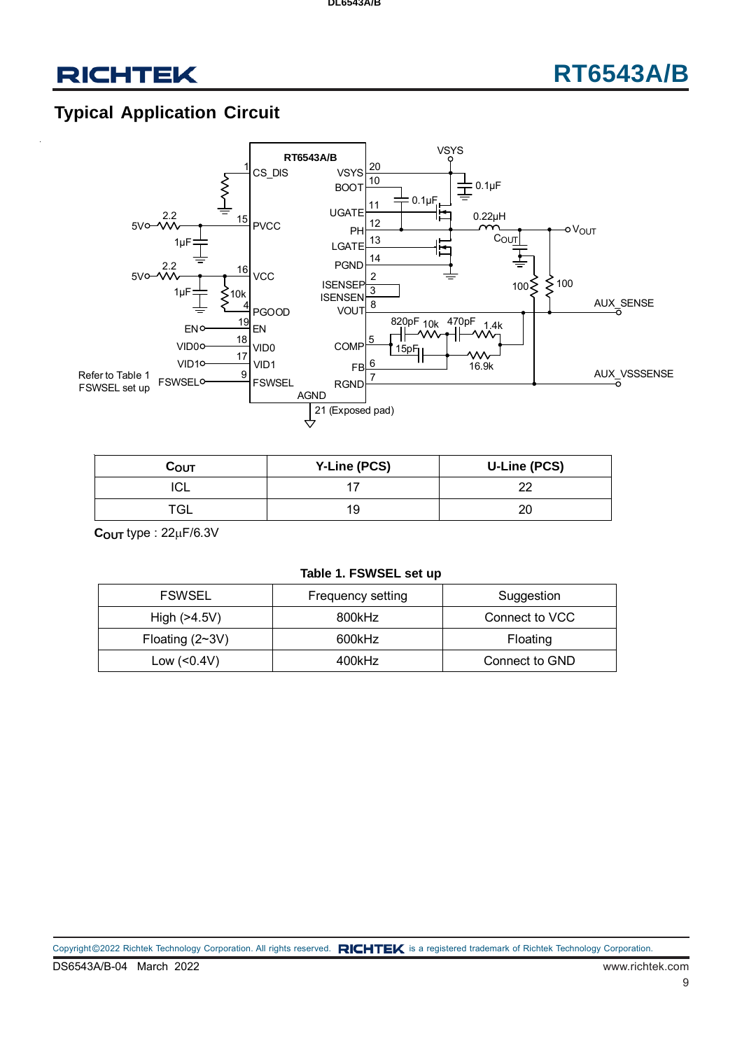## **RT6543A/B**

### **Typical Application Circuit**



| Соυт | <b>Y-Line (PCS)</b> | U-Line (PCS) |
|------|---------------------|--------------|
| ◡∟   |                     | nr           |
|      |                     | ∠⊾           |

**COUT** type : 22F/6.3V

#### **Table 1. FSWSEL set up**

| <b>FSWSEL</b>     | <b>Frequency setting</b> | Suggestion     |
|-------------------|--------------------------|----------------|
| High $(>4.5V)$    | 800kHz                   | Connect to VCC |
| Floating $(2~3V)$ | 600kHz                   | Floating       |
| Low $(0.4V)$      | 400kHz                   | Connect to GND |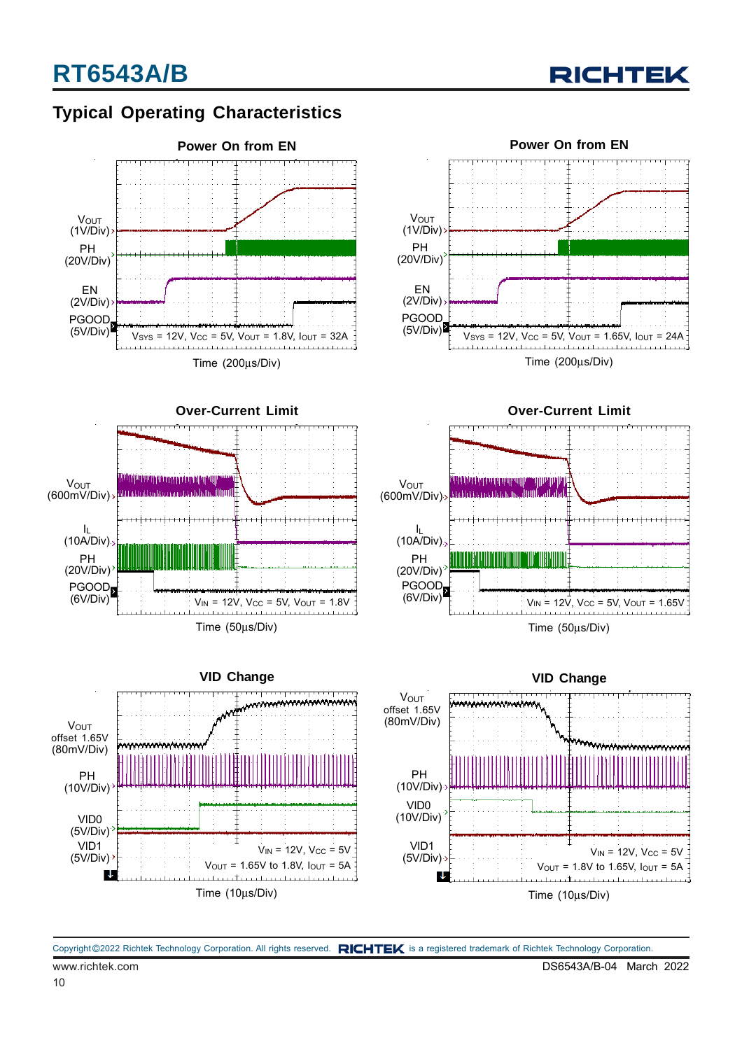### **Typical Operating Characteristics**





Time (200μs/Div)







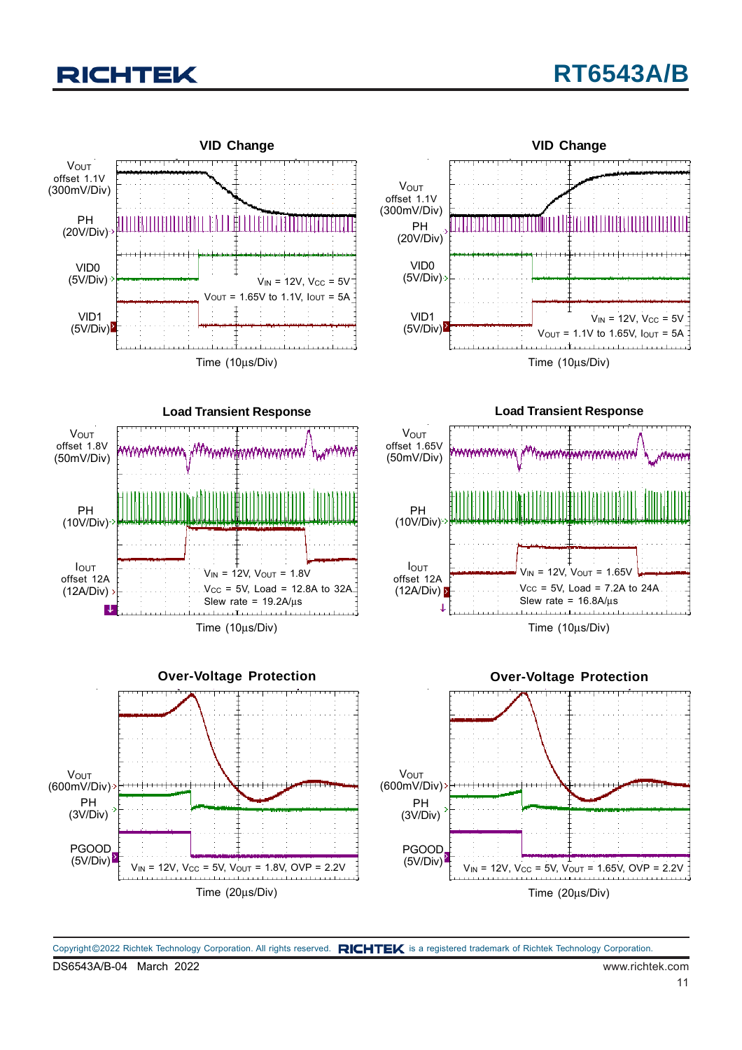

DS6543A/B-04 March 2022 www.richtek.com Copyright ©2022 Richtek Technology Corporation. All rights reserved. RICHTEK is a registered trademark of Richtek Technology Corporation.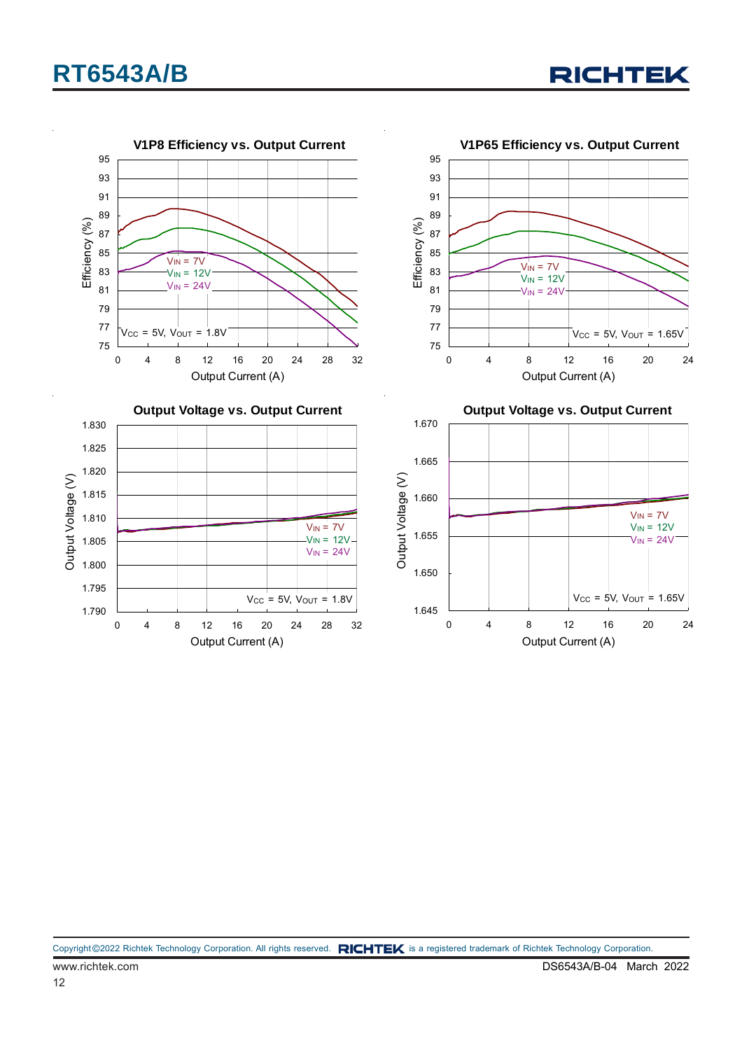

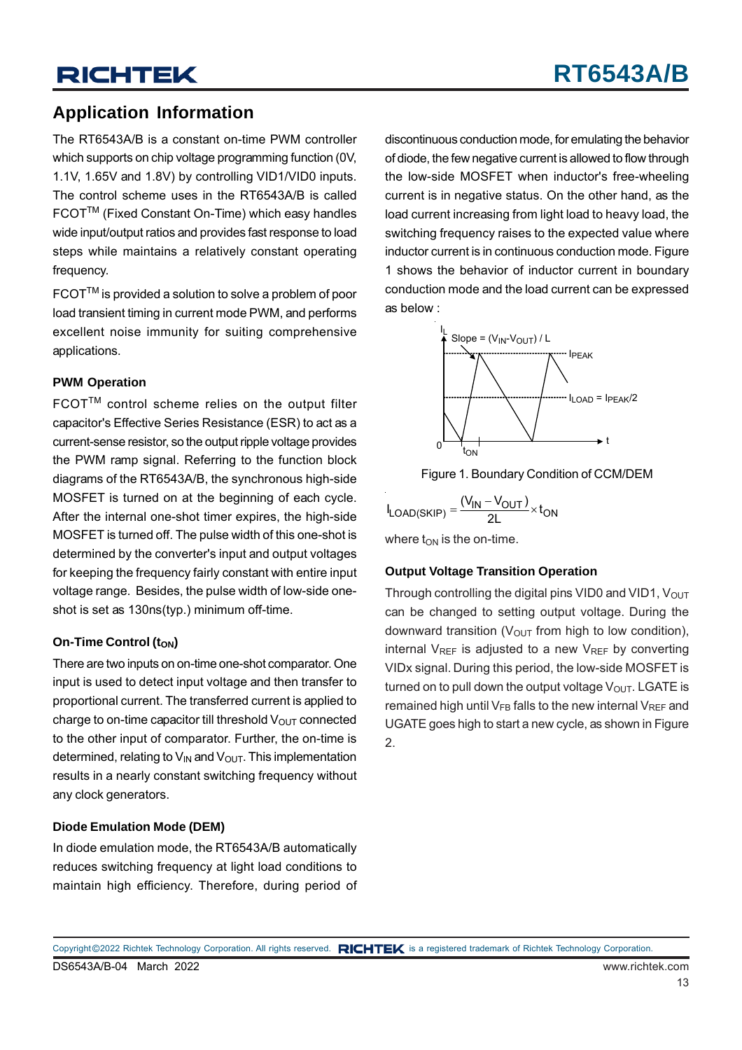### **Application Information**

The RT6543A/B is a constant on-time PWM controller which supports on chip voltage programming function (0V, 1.1V, 1.65V and 1.8V) by controlling VID1/VID0 inputs. The control scheme uses in the RT6543A/B is called FCOTTM (Fixed Constant On-Time) which easy handles wide input/output ratios and provides fast response to load steps while maintains a relatively constant operating frequency.

FCOTTM is provided a solution to solve a problem of poor load transient timing in current mode PWM, and performs excellent noise immunity for suiting comprehensive applications.

#### **PWM Operation**

FCOT™ control scheme relies on the output filter capacitor's Effective Series Resistance (ESR) to act as a current-sense resistor, so the output ripple voltage provides the PWM ramp signal. Referring to the function block diagrams of the RT6543A/B, the synchronous high-side MOSFET is turned on at the beginning of each cycle. After the internal one-shot timer expires, the high-side MOSFET is turned off. The pulse width of this one-shot is determined by the converter's input and output voltages for keeping the frequency fairly constant with entire input voltage range. Besides, the pulse width of low-side oneshot is set as 130ns(typ.) minimum off-time.

#### **On-Time Control (ton)**

There are two inputs on on-time one-shot comparator. One input is used to detect input voltage and then transfer to proportional current. The transferred current is applied to charge to on-time capacitor till threshold  $V_{\text{OUT}}$  connected to the other input of comparator. Further, the on-time is determined, relating to  $V_{IN}$  and  $V_{OUT}$ . This implementation results in a nearly constant switching frequency without any clock generators.

#### **Diode Emulation Mode (DEM)**

In diode emulation mode, the RT6543A/B automatically reduces switching frequency at light load conditions to maintain high efficiency. Therefore, during period of discontinuous conduction mode, for emulating the behavior of diode, the few negative current is allowed to flow through the low-side MOSFET when inductor's free-wheeling current is in negative status. On the other hand, as the load current increasing from light load to heavy load, the switching frequency raises to the expected value where inductor current is in continuous conduction mode. Figure 1 shows the behavior of inductor current in boundary conduction mode and the load current can be expressed as below :





$$
I_{LOAD(SKIP)} = \frac{(V_{IN} - V_{OUT})}{2L} \times t_{ON}
$$

where  $t_{ON}$  is the on-time.

#### **Output Voltage Transition Operation**

Through controlling the digital pins VID0 and VID1,  $V_{OUT}$ can be changed to setting output voltage. During the downward transition ( $V_{OUT}$  from high to low condition), internal  $V_{RFF}$  is adjusted to a new  $V_{RFF}$  by converting VIDx signal. During this period, the low-side MOSFET is turned on to pull down the output voltage  $V_{\text{OUT}}$ . LGATE is remained high until  $V_{FB}$  falls to the new internal  $V_{RFF}$  and UGATE goes high to start a new cycle, as shown in Figure 2.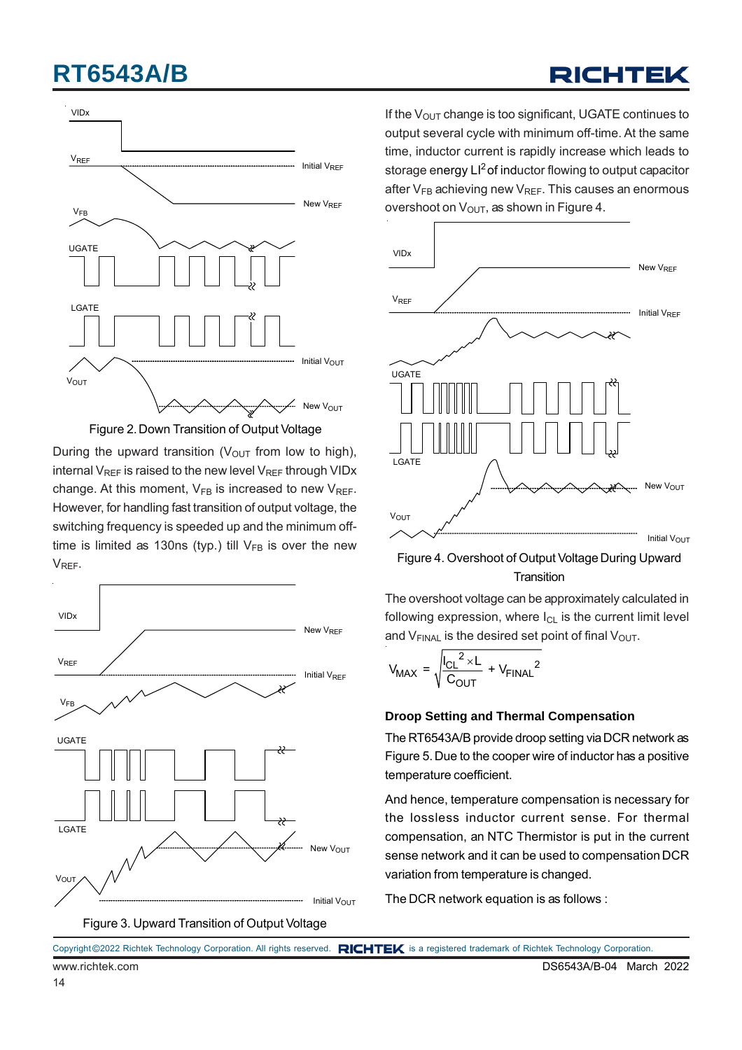# VIDx VREF **WELL CONSUMING THE CONSUMING TERM** THE VALUE OF THE VALUE OF THE VALUE OF THE VALUE OF THE VALUE OF THE VALUE OF THE VALUE OF THE VALUE OF THE VALUE OF THE VALUE OF THE VALUE OF THE VALUE OF THE VALUE OF THE VALUE OF  $V_{\text{FB}}$  New  $V_{\text{REF}}$ UGATE LGATE **Initial Vout** New V<sub>OUT</sub> **V**OUT

Figure 2. Down Transition of Output Voltage

During the upward transition ( $V_{\text{OUT}}$  from low to high), internal  $V_{REF}$  is raised to the new level  $V_{REF}$  through VIDx change. At this moment,  $V_{FB}$  is increased to new  $V_{RFF}$ . However, for handling fast transition of output voltage, the switching frequency is speeded up and the minimum offtime is limited as 130ns (typ.) till  $V_{FB}$  is over the new VREF.



Figure 3. Upward Transition of Output Voltage

If the  $V_{\text{OUT}}$  change is too significant, UGATE continues to output several cycle with minimum off-time. At the same time, inductor current is rapidly increase which leads to storage energy LI<sup>2</sup> of inductor flowing to output capacitor after  $V_{FB}$  achieving new  $V_{REF}$ . This causes an enormous overshoot on  $V_{\text{OUT}}$ , as shown in Figure 4.

**RICHTEK** 



Figure 4. Overshoot of Output Voltage During Upward **Transition** 

The overshoot voltage can be approximately calculated in following expression, where  $I_{CL}$  is the current limit level and  $V_{FINAL}$  is the desired set point of final  $V_{OUT}$ .

$$
V_{MAX} = \sqrt{\frac{|C_{L}^{2} \times L}{C_{OUT}}} + V_{FINAL}^{2}
$$

#### **Droop Setting and Thermal Compensation**

The RT6543A/B provide droop setting via DCR network as Figure 5. Due to the cooper wire of inductor has a positive temperature coefficient.

And hence, temperature compensation is necessary for the lossless inductor current sense. For thermal compensation, an NTC Thermistor is put in the current sense network and it can be used to compensation DCR variation from temperature is changed.

The DCR network equation is as follows :

|                 | Copyright ©2022 Richtek Technology Corporation. All rights reserved. RICHTEK is a registered trademark of Richtek Technology Corporation. |
|-----------------|-------------------------------------------------------------------------------------------------------------------------------------------|
| www.richtek.com | DS6543A/R-04 March 20                                                                                                                     |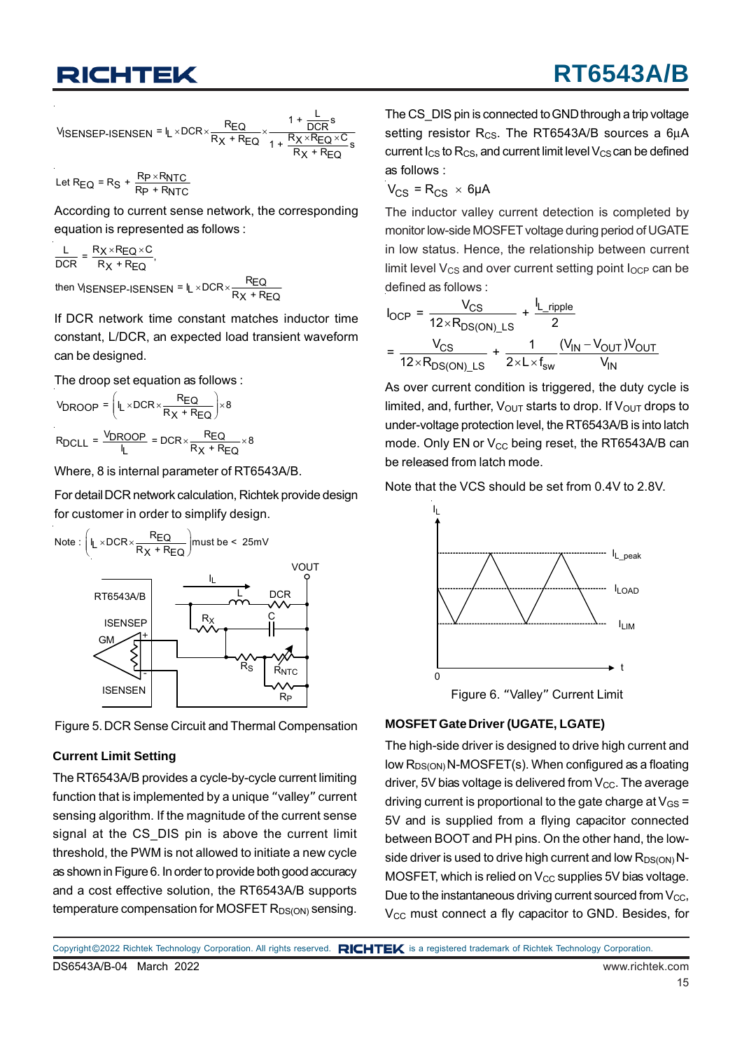$$
\text{V}_{\text{SENSEP-ISENSEN}} = I_L \times \text{DCR} \times \frac{R_{\text{EQ}}}{R_X + R_{\text{EQ}}} \times \frac{1 + \frac{L}{\text{DCR}}s}{1 + \frac{R_X \times R_{\text{EQ}} \times C}{R_X + R_{\text{EQ}}}}
$$

Let R<sub>EQ</sub> = R<sub>S</sub> +  $\frac{R_P \times R_{\text{NTC}}}{R_P + R_{\text{NTC}}}$ 

According to current sense network, the corresponding equation is represented as follows :

 $\frac{\mathsf{L}}{\mathsf{DCR}} = \frac{\mathsf{R}_X \times \mathsf{R}_{\mathsf{EQ}} \times \mathsf{C}}{\mathsf{R}_X + \mathsf{R}_{\mathsf{EQ}}},$ 

then V|SENSEP-ISENSEN <sup>= I</sup>L ×DCR× $\frac{\mathsf{R}_{\mathsf{EQ}}}{\mathsf{R}_{\mathsf{X}}}$  + R<sub>EQ</sub>

If DCR network time constant matches inductor time constant, L/DCR, an expected load transient waveform can be designed.

The droop set equation as follows :

$$
V_{DROOP} = \left(I_L \times DCR \times \frac{REQ}{R_X + R_{EQ}}\right) \times 8
$$
  
 
$$
R_{DCLL} = \frac{V_{DROOP}}{I_L} = DCR \times \frac{R_{EQ}}{R_X + R_{EQ}} \times 8
$$

Where, 8 is internal parameter of RT6543A/B.

For detail DCR network calculation, Richtek provide design for customer in order to simplify design.





#### **Current Limit Setting**

The RT6543A/B provides a cycle-by-cycle current limiting function that is implemented by a unique "valley" current sensing algorithm. If the magnitude of the current sense signal at the CS\_DIS pin is above the current limit threshold, the PWM is not allowed to initiate a new cycle as shown in Figure 6. In order to provide both good accuracy and a cost effective solution, the RT6543A/B supports temperature compensation for MOSFET  $R_{DS(ON)}$  sensing.

The CS DIS pin is connected to GND through a trip voltage setting resistor R<sub>CS</sub>. The RT6543A/B sources a 6μA current  $I_{CS}$  to  $R_{CS}$ , and current limit level  $V_{CS}$  can be defined as follows :

$$
V_{CS} = R_{CS} \times 6\mu A
$$

The inductor valley current detection is completed by monitor low-side MOSFET voltage during period of UGATE in low status. Hence, the relationship between current limit level  $V_{CS}$  and over current setting point  $I_{OCP}$  can be defined as follows :

$$
I_{OCP} = \frac{V_{CS}}{12 \times R_{DS(ON)} \_LS} + \frac{I_{L\_ripple}}{2}
$$

$$
= \frac{V_{CS}}{12 \times R_{DS(ON)} \_LS} + \frac{1}{2 \times L \times f_{sw}} \frac{(V_{IN} - V_{OUT})V_{OUT}}{V_{IN}}
$$

As over current condition is triggered, the duty cycle is limited, and, further,  $V_{\text{OUT}}$  starts to drop. If  $V_{\text{OUT}}$  drops to under-voltage protection level, the RT6543A/B is into latch mode. Only EN or  $V_{CC}$  being reset, the RT6543A/B can be released from latch mode.

Note that the VCS should be set from 0.4V to 2.8V.



Figure 6. "Valley" Current Limit

#### **MOSFET Gate Driver (UGATE, LGATE)**

The high-side driver is designed to drive high current and low  $R_{DS(ON)}$  N-MOSFET(s). When configured as a floating driver, 5V bias voltage is delivered from  $V_{CC}$ . The average driving current is proportional to the gate charge at  $V_{GS}$  = 5V and is supplied from a flying capacitor connected between BOOT and PH pins. On the other hand, the lowside driver is used to drive high current and low  $R_{DS(ON)}N-$ MOSFET, which is relied on  $V_{CC}$  supplies 5V bias voltage. Due to the instantaneous driving current sourced from  $V_{CC}$ , V<sub>CC</sub> must connect a fly capacitor to GND. Besides, for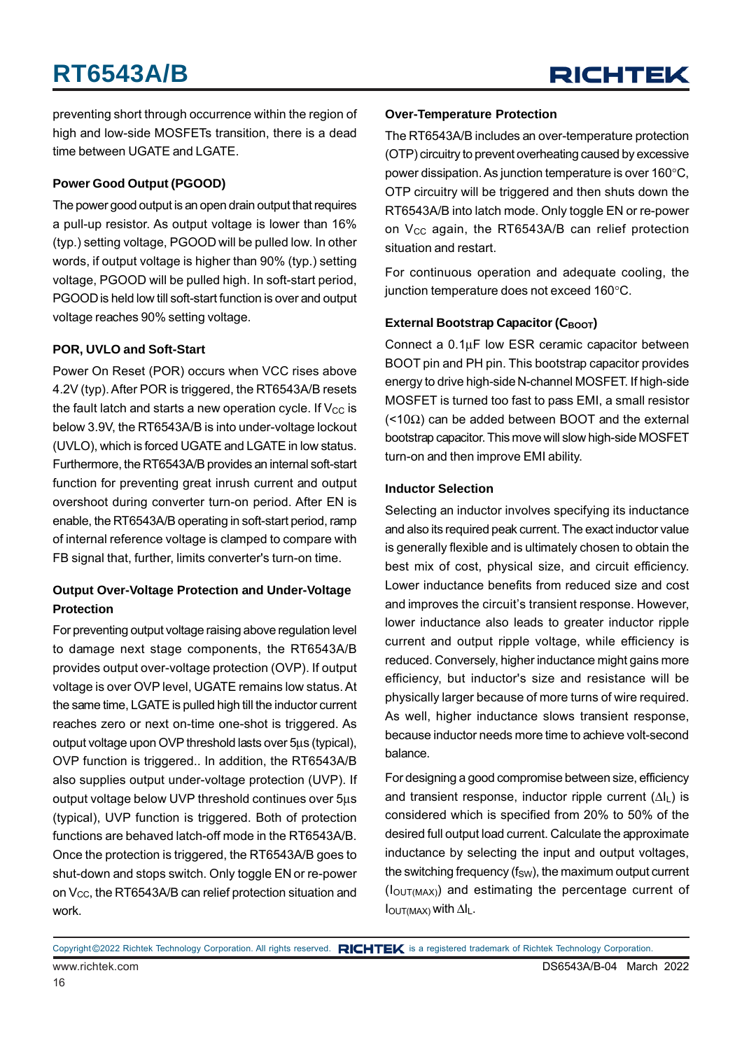preventing short through occurrence within the region of high and low-side MOSFETs transition, there is a dead time between UGATE and LGATE.

#### **Power Good Output (PGOOD)**

The power good output is an open drain output that requires a pull-up resistor. As output voltage is lower than 16% (typ.) setting voltage, PGOOD will be pulled low. In other words, if output voltage is higher than 90% (typ.) setting voltage, PGOOD will be pulled high. In soft-start period, PGOOD is held low till soft-start function is over and output voltage reaches 90% setting voltage.

#### **POR, UVLO and Soft-Start**

Power On Reset (POR) occurs when VCC rises above 4.2V (typ). After POR is triggered, the RT6543A/B resets the fault latch and starts a new operation cycle. If  $V_{CC}$  is below 3.9V, the RT6543A/B is into under-voltage lockout (UVLO), which is forced UGATE and LGATE in low status. Furthermore, the RT6543A/B provides an internal soft-start function for preventing great inrush current and output overshoot during converter turn-on period. After EN is enable, the RT6543A/B operating in soft-start period, ramp of internal reference voltage is clamped to compare with FB signal that, further, limits converter's turn-on time.

#### **Output Over-Voltage Protection and Under-Voltage Protection**

For preventing output voltage raising above regulation level to damage next stage components, the RT6543A/B provides output over-voltage protection (OVP). If output voltage is over OVP level, UGATE remains low status. At the same time, LGATE is pulled high till the inductor current reaches zero or next on-time one-shot is triggered. As output voltage upon OVP threshold lasts over 5μs (typical), OVP function is triggered.. In addition, the RT6543A/B also supplies output under-voltage protection (UVP). If output voltage below UVP threshold continues over 5μs (typical), UVP function is triggered. Both of protection functions are behaved latch-off mode in the RT6543A/B. Once the protection is triggered, the RT6543A/B goes to shut-down and stops switch. Only toggle EN or re-power on  $V_{CC}$ , the RT6543A/B can relief protection situation and work.

#### **Over-Temperature Protection**

The RT6543A/B includes an over-temperature protection (OTP) circuitry to prevent overheating caused by excessive power dissipation. As junction temperature is over 160°C, OTP circuitry will be triggered and then shuts down the RT6543A/B into latch mode. Only toggle EN or re-power on  $V_{CC}$  again, the RT6543A/B can relief protection situation and restart.

For continuous operation and adequate cooling, the junction temperature does not exceed 160°C.

#### **External Bootstrap Capacitor (CBOOT)**

Connect a 0.1μF low ESR ceramic capacitor between BOOT pin and PH pin. This bootstrap capacitor provides energy to drive high-side N-channel MOSFET. If high-side MOSFET is turned too fast to pass EMI, a small resistor  $($  <10 $\Omega$ ) can be added between BOOT and the external bootstrap capacitor. This move will slow high-side MOSFET turn-on and then improve EMI ability.

#### **Inductor Selection**

Selecting an inductor involves specifying its inductance and also its required peak current. The exact inductor value is generally flexible and is ultimately chosen to obtain the best mix of cost, physical size, and circuit efficiency. Lower inductance benefits from reduced size and cost and improves the circuit's transient response. However, lower inductance also leads to greater inductor ripple current and output ripple voltage, while efficiency is reduced. Conversely, higher inductance might gains more efficiency, but inductor's size and resistance will be physically larger because of more turns of wire required. As well, higher inductance slows transient response, because inductor needs more time to achieve volt-second balance.

For designing a good compromise between size, efficiency and transient response, inductor ripple current  $(\Delta I_L)$  is considered which is specified from 20% to 50% of the desired full output load current. Calculate the approximate inductance by selecting the input and output voltages, the switching frequency  $(f_{SW})$ , the maximum output current  $(I<sub>OUT(MAX)</sub>)$  and estimating the percentage current of  $I_{\text{OUT}(MAX)}$  with  $\Delta I_L$ .

www.richtek.com DS6543A/B-04 March 2022 Copyright ©2022 Richtek Technology Corporation. All rights reserved. RICHTEK is a registered trademark of Richtek Technology Corporation.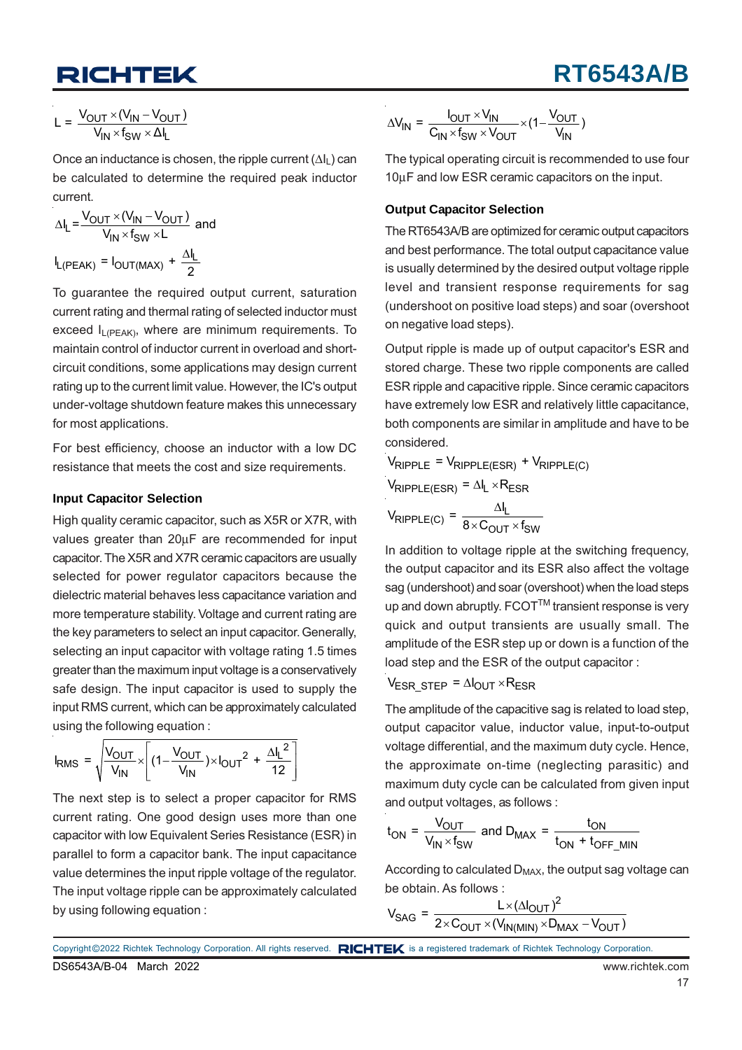$$
L = \frac{V_{OUT} \times (V_{IN} - V_{OUT})}{V_{IN} \times f_{SW} \times \Delta I_L}
$$

Once an inductance is chosen, the ripple current  $(\Delta I_L)$  can be calculated to determine the required peak inductor current.

$$
\Delta I_{L} = \frac{V_{OUT} \times (V_{IN} - V_{OUT})}{V_{IN} \times f_{SW} \times L} \text{ and}
$$

$$
I_{L(PEAK)} = I_{OUT(MAX)} + \frac{\Delta I_{L}}{2}
$$

To guarantee the required output current, saturation current rating and thermal rating of selected inductor must exceed  $I_{L(PEAK)}$ , where are minimum requirements. To maintain control of inductor current in overload and shortcircuit conditions, some applications may design current rating up to the current limit value. However, the IC's output under-voltage shutdown feature makes this unnecessary for most applications.

For best efficiency, choose an inductor with a low DC resistance that meets the cost and size requirements.

#### **Input Capacitor Selection**

High quality ceramic capacitor, such as X5R or X7R, with values greater than 20μF are recommended for input capacitor. The X5R and X7R ceramic capacitors are usually selected for power regulator capacitors because the dielectric material behaves less capacitance variation and more temperature stability. Voltage and current rating are the key parameters to select an input capacitor. Generally, selecting an input capacitor with voltage rating 1.5 times greater than the maximum input voltage is a conservatively safe design. The input capacitor is used to supply the input RMS current, which can be approximately calculated using the following equation :

$$
I_{RMS} = \sqrt{\frac{V_{OUT}}{V_{IN}}} \times \left[ (1 - \frac{V_{OUT}}{V_{IN}}) \times I_{OUT}^2 + \frac{\Delta I_L^2}{12} \right]
$$

The next step is to select a proper capacitor for RMS current rating. One good design uses more than one capacitor with low Equivalent Series Resistance (ESR) in parallel to form a capacitor bank. The input capacitance value determines the input ripple voltage of the regulator. The input voltage ripple can be approximately calculated by using following equation :

$$
\Delta V_{IN} = \frac{I_{OUT} \times V_{IN}}{C_{IN} \times f_{SW} \times V_{OUT}} \times (1 - \frac{V_{OUT}}{V_{IN}})
$$

The typical operating circuit is recommended to use four 10μF and low ESR ceramic capacitors on the input.

#### **Output Capacitor Selection**

The RT6543A/B are optimized for ceramic output capacitors and best performance. The total output capacitance value is usually determined by the desired output voltage ripple level and transient response requirements for sag (undershoot on positive load steps) and soar (overshoot on negative load steps).

Output ripple is made up of output capacitor's ESR and stored charge. These two ripple components are called ESR ripple and capacitive ripple. Since ceramic capacitors have extremely low ESR and relatively little capacitance, both components are similar in amplitude and have to be considered.

 $V_{\text{RIPPLE}} = V_{\text{RIPPLE(ESR)}} + V_{\text{RIPPLE(C)}}$ 

$$
V_{RIPPLE(ESR)} = \Delta I_L \times R_{ESR}
$$

$$
V_{\text{RIPPLE}(C)} = \frac{\Delta I_L}{8 \times C_{\text{OUT}} \times f_{\text{SW}}}
$$

In addition to voltage ripple at the switching frequency, the output capacitor and its ESR also affect the voltage sag (undershoot) and soar (overshoot) when the load steps up and down abruptly. FCOT™ transient response is very quick and output transients are usually small. The amplitude of the ESR step up or down is a function of the load step and the ESR of the output capacitor :

 $V_{ESRSTEP} = \Delta I_{OUT} \times R_{ESR}$ 

The amplitude of the capacitive sag is related to load step, output capacitor value, inductor value, input-to-output voltage differential, and the maximum duty cycle. Hence, the approximate on-time (neglecting parasitic) and maximum duty cycle can be calculated from given input and output voltages, as follows :

$$
t_{ON} = \frac{V_{OUT}}{V_{IN} \times f_{SW}}
$$
 and  $D_{MAX} = \frac{t_{ON}}{t_{ON} + t_{OFF\_MIN}}$ 

According to calculated D<sub>MAX</sub>, the output sag voltage can be obtain. As follows :

$$
V_{SAG} = \frac{L \times (\Delta I_{OUT})^2}{2 \times C_{OUT} \times (V_{IN(MIN)} \times D_{MAX} - V_{OUT})}
$$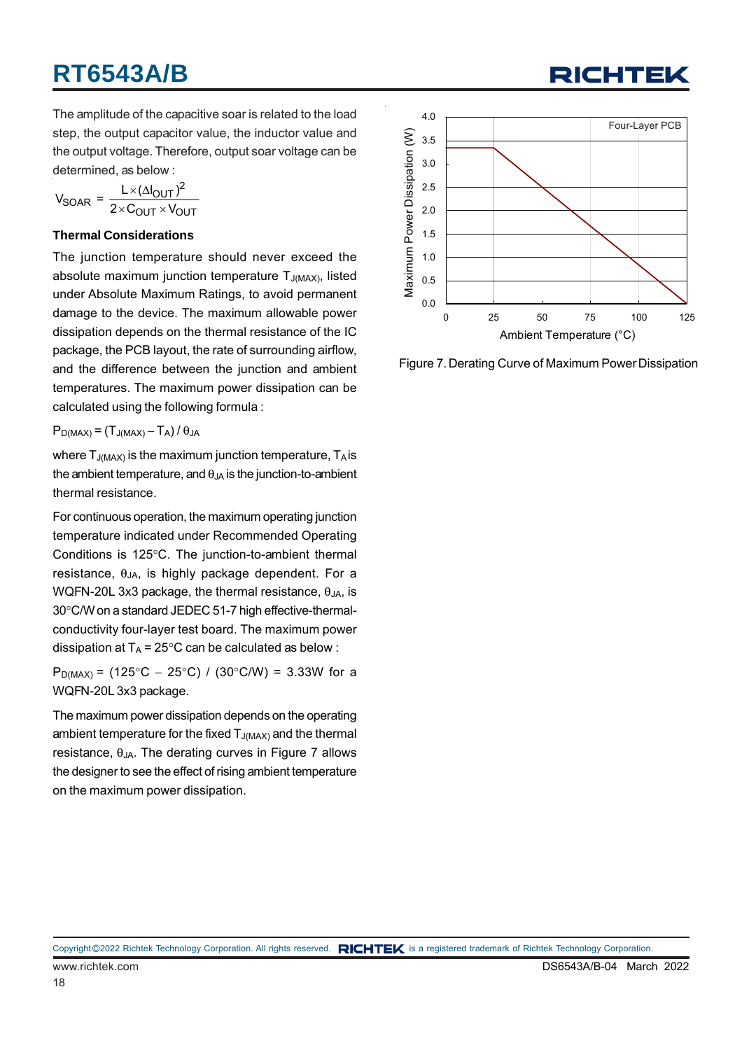

The amplitude of the capacitive soar is related to the load step, the output capacitor value, the inductor value and the output voltage. Therefore, output soar voltage can be determined, as below :

$$
V_{SOAR} = \frac{L \times (\Delta I_{OUT})^2}{2 \times C_{OUT} \times V_{OUT}}
$$

#### **Thermal Considerations**

The junction temperature should never exceed the absolute maximum junction temperature  $T_{J(MAX)}$ , listed under Absolute Maximum Ratings, to avoid permanent damage to the device. The maximum allowable power dissipation depends on the thermal resistance of the IC package, the PCB layout, the rate of surrounding airflow, and the difference between the junction and ambient temperatures. The maximum power dissipation can be calculated using the following formula :

 $P_{D(MAX)} = (T_{J(MAX)} - T_A)/\theta_{JA}$ 

where  $T_{J(MAX)}$  is the maximum junction temperature,  $T_A$  is the ambient temperature, and  $\theta_{JA}$  is the junction-to-ambient thermal resistance.

For continuous operation, the maximum operating junction temperature indicated under Recommended Operating Conditions is 125°C. The junction-to-ambient thermal resistance,  $\theta_{JA}$ , is highly package dependent. For a WQFN-20L 3x3 package, the thermal resistance,  $\theta_{JA}$ , is 30°C/W on a standard JEDEC 51-7 high effective-thermalconductivity four-layer test board. The maximum power dissipation at  $T_A = 25^{\circ}$ C can be calculated as below :

P<sub>D(MAX)</sub> = (125°C – 25°C) / (30°C/W) = 3.33W for a WQFN-20L 3x3 package.

The maximum power dissipation depends on the operating ambient temperature for the fixed  $T_{J(MAX)}$  and the thermal resistance,  $θ<sub>JA</sub>$ . The derating curves in Figure 7 allows the designer to see the effect of rising ambient temperature on the maximum power dissipation.



Figure 7. Derating Curve of Maximum Power Dissipation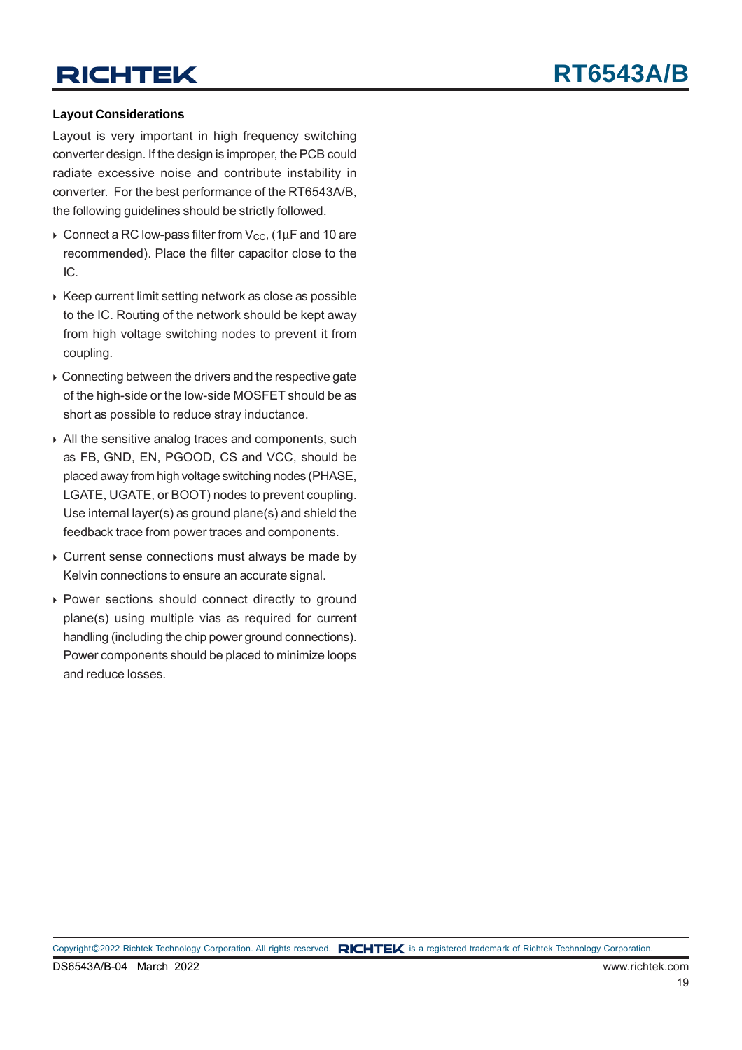#### **Layout Considerations**

Layout is very important in high frequency switching converter design. If the design is improper, the PCB could radiate excessive noise and contribute instability in converter. For the best performance of the RT6543A/B, the following guidelines should be strictly followed.

- $\triangleright$  Connect a RC low-pass filter from V<sub>CC</sub>, (1µF and 10 are recommended). Place the filter capacitor close to the IC.
- $\triangleright$  Keep current limit setting network as close as possible to the IC. Routing of the network should be kept away from high voltage switching nodes to prevent it from coupling.
- ▶ Connecting between the drivers and the respective gate of the high-side or the low-side MOSFET should be as short as possible to reduce stray inductance.
- All the sensitive analog traces and components, such as FB, GND, EN, PGOOD, CS and VCC, should be placed away from high voltage switching nodes (PHASE, LGATE, UGATE, or BOOT) nodes to prevent coupling. Use internal layer(s) as ground plane(s) and shield the feedback trace from power traces and components.
- ▶ Current sense connections must always be made by Kelvin connections to ensure an accurate signal.
- Power sections should connect directly to ground plane(s) using multiple vias as required for current handling (including the chip power ground connections). Power components should be placed to minimize loops and reduce losses.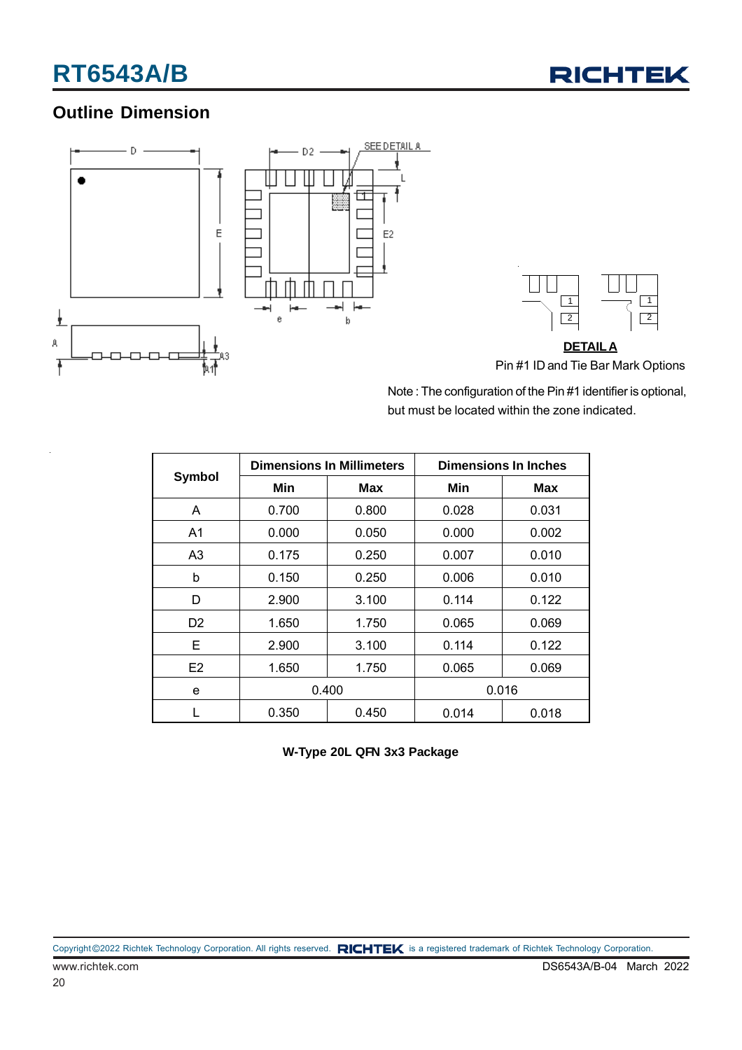

### **Outline Dimension**



Note : The configuration of the Pin #1 identifier is optional, but must be located within the zone indicated.

|                |                | <b>Dimensions In Millimeters</b> | <b>Dimensions In Inches</b> |       |  |
|----------------|----------------|----------------------------------|-----------------------------|-------|--|
| Symbol         | Min            | Max                              | Min                         | Max   |  |
| A              | 0.700          | 0.800                            | 0.028                       | 0.031 |  |
| A <sub>1</sub> | 0.000          | 0.050                            | 0.000                       | 0.002 |  |
| A3             | 0.175          | 0.250                            | 0.007                       | 0.010 |  |
| b              | 0.150          | 0.006<br>0.250                   |                             | 0.010 |  |
| D              | 2.900          | 3.100                            |                             | 0.122 |  |
| D <sub>2</sub> | 1.650<br>1.750 |                                  | 0.065                       | 0.069 |  |
| E              | 2.900<br>3.100 |                                  | 0.114                       | 0.122 |  |
| E2             | 1.650          | 1.750                            | 0.065                       | 0.069 |  |
| e              | 0.400          |                                  | 0.016                       |       |  |
|                | 0.350          | 0.450                            | 0.014                       | 0.018 |  |

**W-Type 20L QFN 3x3 Package**